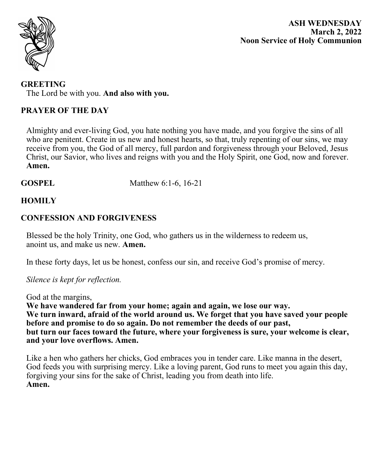

**ASH WEDNESDAY March 2, 2022 Noon Service of Holy Communion**

**GREETING**

The Lord be with you. **And also with you.**

# **PRAYER OF THE DAY**

Almighty and ever-living God, you hate nothing you have made, and you forgive the sins of all who are penitent. Create in us new and honest hearts, so that, truly repenting of our sins, we may receive from you, the God of all mercy, full pardon and forgiveness through your Beloved, Jesus Christ, our Savior, who lives and reigns with you and the Holy Spirit, one God, now and forever. **Amen.**

**GOSPEL** Matthew 6:1-6, 16-21

### **HOMILY**

### **CONFESSION AND FORGIVENESS**

Blessed be the holy Trinity, one God, who gathers us in the wilderness to redeem us, anoint us, and make us new. **Amen.**

In these forty days, let us be honest, confess our sin, and receive God's promise of mercy.

*Silence is kept for reflection.*

God at the margins,

**We have wandered far from your home; again and again, we lose our way. We turn inward, afraid of the world around us. We forget that you have saved your people before and promise to do so again. Do not remember the deeds of our past, but turn our faces toward the future, where your forgiveness is sure, your welcome is clear, and your love overflows. Amen.**

Like a hen who gathers her chicks, God embraces you in tender care. Like manna in the desert, God feeds you with surprising mercy. Like a loving parent, God runs to meet you again this day, forgiving your sins for the sake of Christ, leading you from death into life. **Amen.**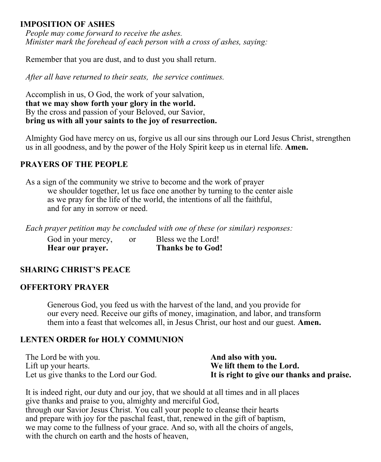# **IMPOSITION OF ASHES**

*People may come forward to receive the ashes. Minister mark the forehead of each person with a cross of ashes, saying:*

Remember that you are dust, and to dust you shall return.

*After all have returned to their seats, the service continues.*

Accomplish in us, O God, the work of your salvation, **that we may show forth your glory in the world.** By the cross and passion of your Beloved, our Savior, **bring us with all your saints to the joy of resurrection.**

Almighty God have mercy on us, forgive us all our sins through our Lord Jesus Christ, strengthen us in all goodness, and by the power of the Holy Spirit keep us in eternal life. **Amen.**

### **PRAYERS OF THE PEOPLE**

As a sign of the community we strive to become and the work of prayer we shoulder together, let us face one another by turning to the center aisle as we pray for the life of the world, the intentions of all the faithful, and for any in sorrow or need.

*Each prayer petition may be concluded with one of these (or similar) responses:* 

| God in your mercy, | or | Bless we the Lord!       |
|--------------------|----|--------------------------|
| Hear our prayer.   |    | <b>Thanks be to God!</b> |

# **SHARING CHRIST'S PEACE**

### **OFFERTORY PRAYER**

Generous God, you feed us with the harvest of the land, and you provide for our every need. Receive our gifts of money, imagination, and labor, and transform them into a feast that welcomes all, in Jesus Christ, our host and our guest. **Amen.**

### **LENTEN ORDER for HOLY COMMUNION**

| The Lord be with you.                   | And also with you.                         |
|-----------------------------------------|--------------------------------------------|
| Lift up your hearts.                    | We lift them to the Lord.                  |
| Let us give thanks to the Lord our God. | It is right to give our thanks and praise. |

It is indeed right, our duty and our joy, that we should at all times and in all places give thanks and praise to you, almighty and merciful God, through our Savior Jesus Christ. You call your people to cleanse their hearts and prepare with joy for the paschal feast, that, renewed in the gift of baptism, we may come to the fullness of your grace. And so, with all the choirs of angels, with the church on earth and the hosts of heaven,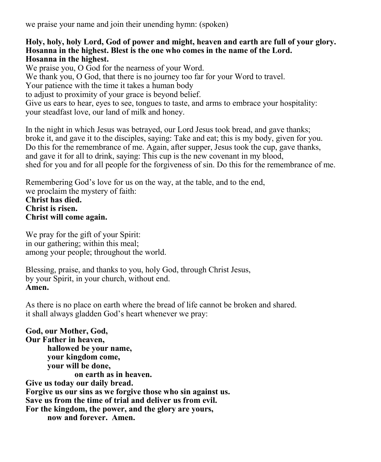we praise your name and join their unending hymn: (spoken)

## **Holy, holy, holy Lord, God of power and might, heaven and earth are full of your glory. Hosanna in the highest. Blest is the one who comes in the name of the Lord. Hosanna in the highest.**

We praise you, O God for the nearness of your Word. We thank you, O God, that there is no journey too far for your Word to travel. Your patience with the time it takes a human body to adjust to proximity of your grace is beyond belief. Give us ears to hear, eyes to see, tongues to taste, and arms to embrace your hospitality: your steadfast love, our land of milk and honey.

In the night in which Jesus was betrayed, our Lord Jesus took bread, and gave thanks; broke it, and gave it to the disciples, saying: Take and eat; this is my body, given for you. Do this for the remembrance of me. Again, after supper, Jesus took the cup, gave thanks, and gave it for all to drink, saying: This cup is the new covenant in my blood, shed for you and for all people for the forgiveness of sin. Do this for the remembrance of me.

Remembering God's love for us on the way, at the table, and to the end, we proclaim the mystery of faith: **Christ has died. Christ is risen. Christ will come again.**

We pray for the gift of your Spirit: in our gathering; within this meal; among your people; throughout the world.

Blessing, praise, and thanks to you, holy God, through Christ Jesus, by your Spirit, in your church, without end. **Amen.**

As there is no place on earth where the bread of life cannot be broken and shared. it shall always gladden God's heart whenever we pray:

**God, our Mother, God, Our Father in heaven, hallowed be your name, your kingdom come, your will be done, on earth as in heaven. Give us today our daily bread. Forgive us our sins as we forgive those who sin against us. Save us from the time of trial and deliver us from evil. For the kingdom, the power, and the glory are yours, now and forever. Amen.**